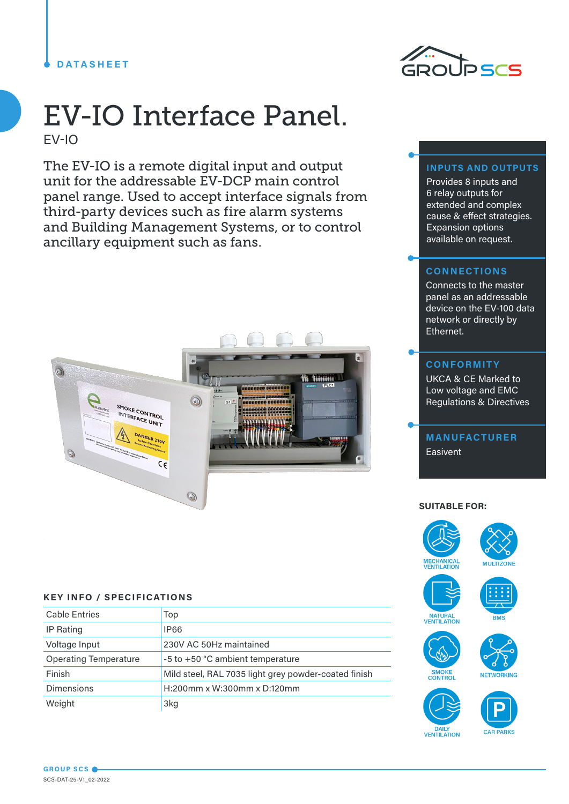## **DATASHEET**



# EV-IO Interface Panel. EV-IO

The EV-IO is a remote digital input and output unit for the addressable EV-DCP main control panel range. Used to accept interface signals from third-party devices such as fire alarm systems and Building Management Systems, or to control ancillary equipment such as fans.



### **KEY INFO / SPECIFICATIONS**

| <b>Cable Entries</b>         | Top                                                  |
|------------------------------|------------------------------------------------------|
| IP Rating                    | <b>IP66</b>                                          |
| Voltage Input                | 230V AC 50Hz maintained                              |
| <b>Operating Temperature</b> | -5 to +50 °C ambient temperature                     |
| Finish                       | Mild steel, RAL 7035 light grey powder-coated finish |
| <b>Dimensions</b>            | H:200mm x W:300mm x D:120mm                          |
| Weight                       | 3kg                                                  |

#### **INPUTS AND OUTPUTS**

Provides 8 inputs and 6 relay outputs for extended and complex cause & effect strategies. Expansion options available on request.

#### **CONNECTIONS**

Connects to the master panel as an addressable device on the EV-100 data network or directly by Ethernet.

#### **CONFORMITY**

UKCA & CE Marked to Low voltage and EMC Regulations & Directives

**MANUFACTURER** Easivent

#### **SUITABLE FOR:**













DAILY<br>VENTILATION



**GROUP SCS** SCS-DAT-25-V1\_02-2022